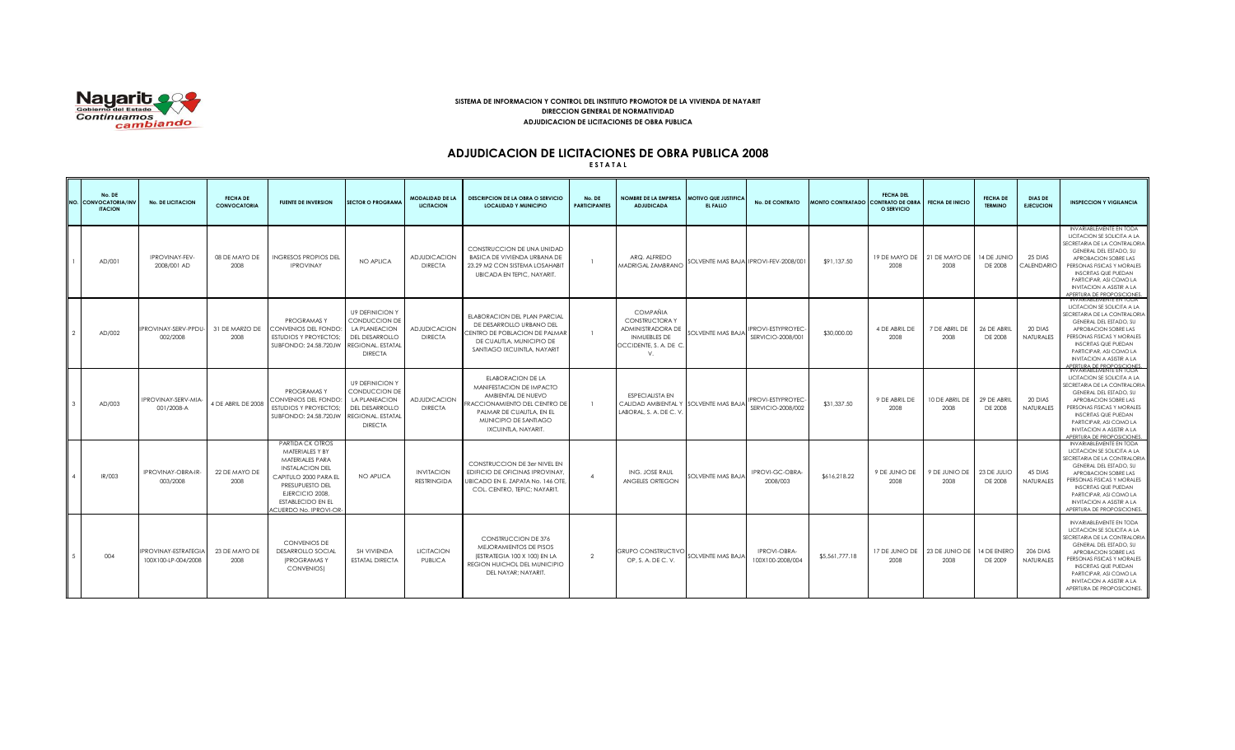

## **SISTEMA DE INFORMACION Y CONTROL DEL INSTITUTO PROMOTOR DE LA VIVIENDA DE NAYARIT DIRECCION GENERAL DE NORMATIVIDAD ADJUDICACION DE LICITACIONES DE OBRA PUBLICA**

# **ADJUDICACION DE LICITACIONES DE OBRA PUBLICA 2008**

**E S T A T A L**

|                | No. DE<br>NO. CONVOCATORIA/INV<br><b>ITACION</b> | <b>No. DE LICITACION</b>                           | <b>FECHA DE</b><br><b>CONVOCATORIA</b> | <b>FUENTE DE INVERSION</b>                                                                                                                                                                                   | <b>SECTOR O PROGRAMA</b>                                                                                                 | <b>MODALIDAD DE LA</b><br><b>LICITACION</b> | <b>DESCRIPCION DE LA OBRA O SERVICIO</b><br><b>LOCALIDAD Y MUNICIPIO</b>                                                                                                         | No. DE<br><b>PARTICIPANTES</b> | NOMBRE DE LA EMPRESA MOTIVO QUE JUSTIFICA<br><b>ADJUDICADA</b>                                                      | EL FALLO                | <b>No. DE CONTRATO</b>                 | MONTO CONTRATADO CONTRATO DE OBRA | <b>FECHA DEL</b><br>O SERVICIO | <b>FECHA DE INICIO</b>                  | <b>FECHA DE</b><br><b>TERMINO</b> | <b>DIAS DE</b><br><b>EJECUCION</b> | <b>INSPECCION Y VIGILANCIA</b>                                                                                                                                                                                                                                                                                   |
|----------------|--------------------------------------------------|----------------------------------------------------|----------------------------------------|--------------------------------------------------------------------------------------------------------------------------------------------------------------------------------------------------------------|--------------------------------------------------------------------------------------------------------------------------|---------------------------------------------|----------------------------------------------------------------------------------------------------------------------------------------------------------------------------------|--------------------------------|---------------------------------------------------------------------------------------------------------------------|-------------------------|----------------------------------------|-----------------------------------|--------------------------------|-----------------------------------------|-----------------------------------|------------------------------------|------------------------------------------------------------------------------------------------------------------------------------------------------------------------------------------------------------------------------------------------------------------------------------------------------------------|
|                | AD/001                                           | <b>IPROVINAY-FEV-</b><br>2008/001 AD               | 08 DE MAYO DE<br>2008                  | <b>INGRESOS PROPIOS DEL</b><br><b>IPROVINAY</b>                                                                                                                                                              | NO APLICA                                                                                                                | <b>ADJUDICACION</b><br><b>DIRECTA</b>       | CONSTRUCCION DE UNA UNIDAD<br>BASICA DE VIVIENDA URBANA DE<br>23.29 M2 CON SISTEMA LOSAHABIT<br>UBICADA EN TEPIC, NAYARIT.                                                       |                                | ARQ, ALFREDO<br><b>MADRIGAL ZAMBRANO</b>                                                                            |                         | SOLVENTE MAS BAJA IPROVI-FEV-2008/001  | \$91.137.50                       | 2008                           | 19 DE MAYO DE 121 DE MAYO DE<br>2008    | 14 DE JUNIO<br>DE 2008            | 25 DIAS<br>CALENDARIO              | <b>INVARIABLEMENTE EN TODA</b><br>LICITACION SE SOLICITA A LA<br>SECRETARIA DE LA CONTRALORIA<br>GENERAL DEL ESTADO, SU<br>APROBACION SOBRE LAS<br>PERSONAS FISICAS Y MORALES<br><b>INSCRITAS QUE PUEDAN</b><br>PARTICIPAR, ASI COMO LA<br><b>INVITACION A ASISTIR A LA</b><br>APERTURA DE PROPOSICIONES         |
| $\sqrt{2}$     | AD/002                                           | IPROVINAY-SERV-PPDU-<br>002/2008                   | 31 DE MARZO DE<br>2008                 | PROGRAMAS Y<br>CONVENIOS DEL FONDO:<br><b>ESTUDIOS Y PROYECTOS</b><br>SUBFONDO: 24.58.720JW                                                                                                                  | <b>U9 DEFINICION Y</b><br>CONDUCCION DE<br>LA PLANEACION<br>DEL DESARROLLO<br>REGIONAL. ESTATAL<br><b>DIRECTA</b>        | <b>ADJUDICACION</b><br><b>DIRECTA</b>       | ELABORACION DEL PLAN PARCIAL<br>DE DESARROLLO URBANO DEL<br>CENTRO DE POBLACION DE PALMAR<br>DE CUAUTLA, MUNICIPIO DE<br>SANTIAGO IXCUINTLA, NAYARIT                             | $\overline{1}$                 | <b>COMPAÑIA</b><br><b>CONSTRUCTORAY</b><br>ADMINISTRADORA DE<br><b>INMUEBLES DE</b><br>OCCIDENTE, S. A. DE C.<br>V. | SOLVENTE MAS BAJA       | IPROVI-ESTYPROYEC<br>SERVICIO-2008/001 | \$30,000,00                       | 4 DE ABRIL DE<br>2008          | 7 DE ABRIL DE<br>2008                   | 26 DE ABRIL<br>DE 2008            | 20 DIAS<br><b>NATURALES</b>        | INVARIABLEMENTE EN TODA<br>LICITACION SE SOLICITA A LA<br>SECRETARIA DE LA CONTRALORIA<br><b>GENERAL DEL ESTADO, SU</b><br>APROBACION SOBRE LAS<br>PERSONAS FISICAS Y MORALES<br><b>INSCRITAS QUE PUEDAN</b><br>PARTICIPAR, ASI COMO LA<br><b>INVITACION A ASISTIR A LA</b><br><b>IPERTURA DE PROPOSICIONES.</b> |
|                | AD/003                                           | <b>IPROVINAY-SERV-MIA</b><br>001/2008-A            | 4 DE ABRIL DE 2008                     | PROGRAMAS Y<br>CONVENIOS DEL FONDO:<br><b>ESTUDIOS Y PROYECTOS:</b><br>SUBFONDO: 24.58.720JW                                                                                                                 | <b>U9 DEFINICION Y</b><br>CONDUCCION DE<br>LA PLANEACION<br><b>DEL DESARROLLO</b><br>REGIONAL, ESTATAL<br><b>DIRECTA</b> | <b>ADJUDICACION</b><br><b>DIRECTA</b>       | ELABORACION DE LA<br>MANIFESTACION DE IMPACTO<br>AMBIENTAL DE NUEVO<br>FRACCIONAMIENTO DEL CENTRO DE<br>PALMAR DE CUAUTLA. EN EL<br>MUNICIPIO DE SANTIAGO<br>IXCUINTLA, NAYARIT, | $\overline{1}$                 | <b>ESPECIALISTA EN</b><br>CALIDAD AMBIENTAL Y SOLVENTE MAS BAJA<br>LABORAL, S. A. DE C. V                           |                         | IPROVI-ESTYPROYEC<br>SERVICIO-2008/002 | \$31,337,50                       | 9 DE ABRIL DE<br>2008          | 10 DE ABRIL DE<br>2008                  | 29 DE ABRIL<br>DE 2008            | 20 DIAS<br><b>NATURALES</b>        | INVARIABLEMENTE EN TODA<br>LICITACION SE SOLICITA A LA<br>SECRETARIA DE LA CONTRALORIA<br>GENERAL DEL ESTADO, SU<br>APROBACION SOBRE LAS<br>PERSONAS FISICAS Y MORALES<br><b>INSCRITAS QUE PUEDAN</b><br>PARTICIPAR, ASI COMO LA<br><b>INVITACION A ASISTIR A LA</b><br><b>VPERTURA DE PROPOSICIONES.</b>        |
|                | IR/003                                           | IPROVINAY-OBRA-IR-<br>003/2008                     | 22 DE MAYO DE<br>2008                  | PARTIDA CK OTROS<br>MATERIALES Y BY<br>MATERIALES PARA<br><b>INSTALACION DEL</b><br>CAPITULO 2000 PARA EL<br>PRESUPUESTO DEL<br>EJERCICIO 2008.<br><b>ESTABLECIDO EN EL</b><br><b>ACUERDO No. IPROVI-OR-</b> | NO APLICA                                                                                                                | <b>INVITACION</b><br><b>RESTRINGIDA</b>     | <b>CONSTRUCCION DE 3er NIVEL EN</b><br>EDIFICIO DE OFICINAS IPROVINAY.<br>UBICADO EN E. ZAPATA No. 146 OTE<br>COL. CENTRO, TEPIC: NAYARIT,                                       | $\Delta$                       | ING. JOSE RAUL<br>ANGELES ORTEGON                                                                                   | <b>OLVENTE MAS BAJA</b> | IPROVI-GC-OBRA-<br>2008/003            | \$616.218.22                      | 9 DE JUNIO DE<br>2008          | 9 DE JUNIO DE<br>2008                   | 23 DE JULIO<br>DE 2008            | 45 DIAS<br><b>NATURALES</b>        | INVARIABLEMENTE EN TODA<br>LICITACION SE SOLICITA A LA<br>SECRETARIA DE LA CONTRALORIA<br>GENERAL DEL ESTADO, SU<br>APROBACION SOBRE LAS<br>PERSONAS FISICAS Y MORALES<br><b>INSCRITAS QUE PUEDAN</b><br>PARTICIPAR, ASI COMO LA<br><b>INVITACION A ASISTIR A LA</b><br>APERTURA DE PROPOSICIONES.               |
| 5 <sub>5</sub> | 004                                              | <b>IPROVINAY-ESTRATEGIA</b><br>100X100-LP-004/2008 | 23 DE MAYO DE<br>2008                  | <b>CONVENIOS DE</b><br><b>DESARROLLO SOCIAL</b><br><b>IPROGRAMASY</b><br>CONVENIOS)                                                                                                                          | SH VIVIENDA<br><b>ESTATAL DIRECTA</b>                                                                                    | <b>LICITACION</b><br><b>PUBLICA</b>         | CONSTRUCCION DE 376<br>MEJORAMIENTOS DE PISOS<br>(ESTRATEGIA 100 X 100) EN LA<br>REGION HUICHOL DEL MUNICIPIO<br>DEL NAYAR: NAYARIT.                                             | $\mathcal{P}$                  | <b>GRUPO CONSTRUCTIVO</b><br>OP. S. A. DE C. V.                                                                     | SOLVENTE MAS BAJA       | IPROVI-OBRA-<br>100X100-2008/004       | \$5,561,777.18                    | 2008                           | 17 DE JUNIO DE   23 DE JUNIO DE<br>2008 | 14 DE ENERO<br>DE 2009            | 206 DIAS<br><b>NATURALES</b>       | <b>INVARIABLEMENTE EN TODA</b><br>LICITACION SE SOLICITA A LA<br>SECRETARIA DE LA CONTRALORIA<br>GENERAL DEL ESTADO, SU<br>APROBACION SOBRE LAS<br>PERSONAS FISICAS Y MORALES<br><b>INSCRITAS QUE PUEDAN</b><br>PARTICIPAR, ASI COMO LA<br><b>INVITACION A ASISTIR A LA</b><br>APERTURA DE PROPOSICIONES.        |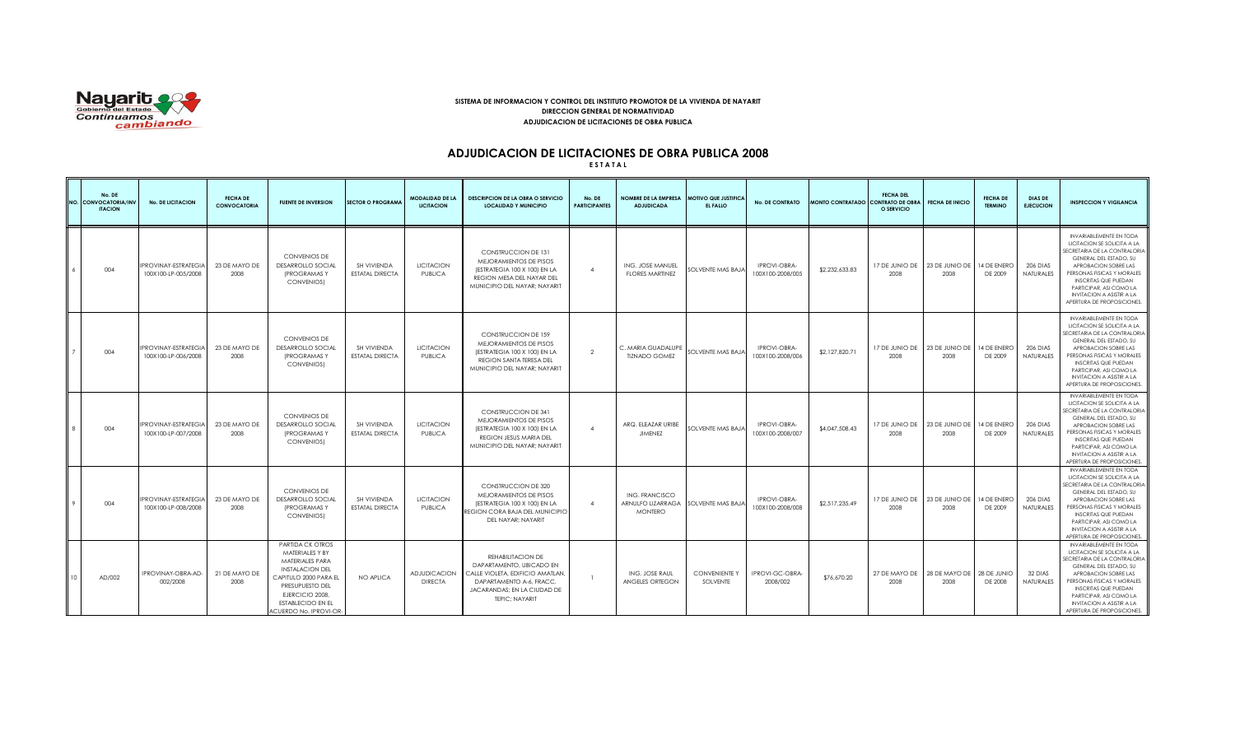

## **SISTEMA DE INFORMACION Y CONTROL DEL INSTITUTO PROMOTOR DE LA VIVIENDA DE NAYARIT DIRECCION GENERAL DE NORMATIVIDAD ADJUDICACION DE LICITACIONES DE OBRA PUBLICA**

# **ADJUDICACION DE LICITACIONES DE OBRA PUBLICA 2008**

**E S T A T A L**

| No. DE<br>NO. CONVOCATORIA/IN<br><b>ITACION</b> | <b>No. DE LICITACION</b>                           | <b>FECHA DE</b><br><b>CONVOCATORIA</b> | <b>FUENTE DE INVERSION</b>                                                                                                                                                                                   | <b>SECTOR O PROGRAMA</b>              | <b>MODALIDAD DE LA</b><br><b>LICITACION</b> | <b>DESCRIPCION DE LA OBRA O SERVICIO</b><br><b>LOCALIDAD Y MUNICIPIO</b>                                                                                       | No. DE<br><b>PARTICIPANTES</b> | NOMBRE DE LA EMPRESA   MOTIVO QUE JUSTIFICA<br><b>ADJUDICADA</b>        | EL FALLO                         | <b>No. DE CONTRATO</b>                  | MONTO CONTRATADO CONTRATO DE OBRA | <b>FECHA DEL</b><br>O SERVICIO | <b>FECHA DE INICIO</b>                  | <b>FECHA DE</b><br><b>TERMINO</b> | <b>DIAS DE</b><br><b>EJECUCION</b>  | <b>INSPECCION Y VIGILANCIA</b>                                                                                                                                                                                                                                                                            |
|-------------------------------------------------|----------------------------------------------------|----------------------------------------|--------------------------------------------------------------------------------------------------------------------------------------------------------------------------------------------------------------|---------------------------------------|---------------------------------------------|----------------------------------------------------------------------------------------------------------------------------------------------------------------|--------------------------------|-------------------------------------------------------------------------|----------------------------------|-----------------------------------------|-----------------------------------|--------------------------------|-----------------------------------------|-----------------------------------|-------------------------------------|-----------------------------------------------------------------------------------------------------------------------------------------------------------------------------------------------------------------------------------------------------------------------------------------------------------|
| 004                                             | IPROVINAY-ESTRATEGIA<br>100X100-LP-005/2008        | 23 DE MAYO DE<br>2008                  | <b>CONVENIOS DE</b><br><b>DESARROLLO SOCIAL</b><br><b>IPROGRAMASY</b><br>CONVENIOS)                                                                                                                          | SH VIVIENDA<br>ESTATAL DIRECTA        | <b>LICITACION</b><br>PUBLICA                | CONSTRUCCION DE 131<br>MEJORAMIENTOS DE PISOS<br>(ESTRATEGIA 100 X 100) EN LA<br>REGION MESA DEL NAYAR DEL<br>MUNICIPIO DEL NAYAR: NAYARIT                     | $\Delta$                       | ING. JOSE MANUEL<br><b>FLORES MARTINEZ</b>                              | SOLVENTE MAS BAJA                | IPROVI-OBRA-<br>100X100-2008/005        | \$2,232,633,83                    | 2008                           | 17 DE JUNIO DE   23 DE JUNIO DE<br>2008 | 14 DE ENERO<br>DE 2009            | 206 DIAS<br><b>NATURALES</b>        | <b>INVARIABLEMENTE EN TODA</b><br>LICITACION SE SOLICITA A LA<br>SECRETARIA DE LA CONTRALORIA<br>GENERAL DEL ESTADO, SU<br>APROBACION SOBRE LAS<br>PERSONAS FISICAS Y MORALES<br><b>INSCRITAS QUE PUEDAN</b><br>PARTICIPAR, ASI COMO LA<br><b>INVITACION A ASISTIR A LA</b><br>APERTURA DE PROPOSICIONES. |
| 004                                             | IPROVINAY-ESTRATEGIA<br>100X100-LP-006/2008        | 23 DE MAYO DE<br>2008                  | <b>CONVENIOS DE</b><br>DESARROLLO SOCIAL<br><b>IPROGRAMASY</b><br><b>CONVENIOSI</b>                                                                                                                          | SH VIVIENDA<br>ESTATAL DIRECTA        | <b>LICITACION</b><br>PUBLICA                | <b>CONSTRUCCION DE 159</b><br>MEJORAMIENTOS DE PISOS<br>(ESTRATEGIA 100 X 100) EN LA<br>REGION SANTA TERESA DEL<br>MUNICIPIO DEL NAYAR: NAYARIT                | $\overline{2}$                 | C. MARIA GUADALUPE<br>TIZNADO GOMEZ                                     | SOLVENTE MAS BAJA                | IPROVI-OBRA-<br>100X100-2008/006        | \$2,127,820.71                    | 2008                           | 17 DE JUNIO DE   23 DE JUNIO DE<br>2008 | 14 DE ENERO<br>DE 2009            | <b>206 DIAS</b><br><b>NATURALES</b> | <b>INVARIABLEMENTE EN TODA</b><br>LICITACION SE SOLICITA A LA<br>SECRETARIA DE LA CONTRALORIA<br>GENERAL DEL ESTADO, SU<br>APROBACION SOBRE LAS<br>PERSONAS FISICAS Y MORALES<br><b>INSCRITAS QUE PUEDAN</b><br>PARTICIPAR, ASI COMO LA<br><b>INVITACION A ASISTIR A LA</b><br>APERTURA DE PROPOSICIONES  |
| 004                                             | <b>IPROVINAY-ESTRATEGIA</b><br>100X100-LP-007/2008 | 23 DE MAYO DE<br>2008                  | <b>CONVENIOS DE</b><br><b>DESARROLLO SOCIAL</b><br>(PROGRAMAS Y<br>CONVENIOS)                                                                                                                                | SH VIVIENDA<br><b>ESTATAL DIRECTA</b> | <b>LICITACION</b><br>PUBLICA                | <b>CONSTRUCCION DE 341</b><br>MEJORAMIENTOS DE PISOS<br>(ESTRATEGIA 100 X 100) EN LA<br>REGION JESUS MARIA DEL<br>MUNICIPIO DEL NAYAR: NAYARIT                 | $\overline{4}$                 | ARQ. ELEAZAR URIBE<br><b>JIMENEZ</b>                                    | SOLVENTE MAS BAJA                | <b>IPROVI-OBRA-</b><br>100X100-2008/007 | \$4,047,508.43                    | 17 DE JUNIO DE<br>2008         | 23 DE JUNIO DE<br>2008                  | 4 DE ENERO<br>DE 2009             | 206 DIAS<br><b>NATURALES</b>        | INVARIABLEMENTE EN TODA<br>LICITACION SE SOLICITA A LA<br>SECRETARIA DE LA CONTRALORIA<br>GENERAL DEL ESTADO, SU<br>APROBACION SOBRE LAS<br>PERSONAS FISICAS Y MORALES<br><b>INSCRITAS QUE PUEDAN</b><br>PARTICIPAR, ASI COMO LA<br><b>INVITACION A ASISTIR A LA</b><br>APERTURA DE PROPOSICIONES         |
| 004                                             | IPROVINAY-ESTRATEGIA<br>100X100-LP-008/2008        | 23 DE MAYO DE<br>2008                  | <b>CONVENIOS DE</b><br><b>DESARROLLO SOCIAL</b><br><b>IPROGRAMASY</b><br>CONVENIOS)                                                                                                                          | SH VIVIENDA<br><b>ESTATAL DIRECTA</b> | <b>LICITACION</b><br>PUBLICA                | CONSTRUCCION DE 320<br>MEJORAMIENTOS DE PISOS<br>(ESTRATEGIA 100 X 100) EN LA<br>REGION CORA BAJA DEL MUNICIPIO<br>DEL NAYAR: NAYARIT                          | $\overline{4}$                 | ING. FRANCISCO<br>ARNULFO LIZARRAGA SOLVENTE MAS BAJA<br><b>MONTERO</b> |                                  | IPROVI-OBRA-<br>100X100-2008/008        | \$2,517,235.49                    | 2008                           | 17 DE JUNIO DE   23 DE JUNIO DE<br>2008 | 14 DE ENERO<br>DE 2009            | <b>206 DIAS</b><br><b>NATURALES</b> | INVARIABLEMENTE EN TODA<br>LICITACION SE SOLICITA A LA<br>SECRETARIA DE LA CONTRALORIA<br>GENERAL DEL ESTADO, SU<br>APROBACION SOBRE LAS<br>PERSONAS FISICAS Y MORALES<br><b>INSCRITAS QUE PUEDAN</b><br>PARTICIPAR, ASI COMO LA<br><b>INVITACION A ASISTIR A LA</b><br>APERTURA DE PROPOSICIONES         |
| AD/002                                          | IPROVINAY-OBRA-AD-<br>002/2008                     | 21 DE MAYO DE<br>2008                  | PARTIDA CK OTROS<br>MATERIALES Y BY<br>MATERIALES PARA<br><b>INSTALACION DEL</b><br>CAPITULO 2000 PARA EL<br>PRESUPUESTO DEL<br>EJERCICIO 2008.<br><b>ESTABLECIDO EN EL</b><br><b>ACUERDO No. IPROVI-OR-</b> | NO APLICA                             | <b>ADJUDICACION</b><br><b>DIRECTA</b>       | REHABILITACION DE<br>DAPARTAMENTO, UBICADO EN<br>CALLE VIOLETA, EDIFICIO AMATLAN.<br>DAPARTAMENTO A-6, FRACC.<br>JACARANDAS; EN LA CIUDAD DE<br>TEPIC: NAYARIT | $\overline{1}$                 | ING. JOSE RAUL<br>ANGELES ORTEGON                                       | <b>CONVENIENTE Y</b><br>SOLVENTE | IPROVI-GC-OBRA-<br>2008/002             | \$76,670.20                       | 27 DE MAYO DE  <br>2008        | 28 DE MAYO DE<br>2008                   | 28 DE JUNIO<br>DE 2008            | 32 DIAS<br><b>NATURALES</b>         | INVARIABLEMENTE EN TODA<br>LICITACION SE SOLICITA A LA<br>SECRETARIA DE LA CONTRALORIA<br>GENERAL DEL ESTADO, SU<br>APROBACION SOBRE LAS<br>PERSONAS FISICAS Y MORALES<br><b>INSCRITAS QUE PUEDAN</b><br>PARTICIPAR, ASI COMO LA<br><b>INVITACION A ASISTIR A LA</b><br>APERTURA DE PROPOSICIONES.        |